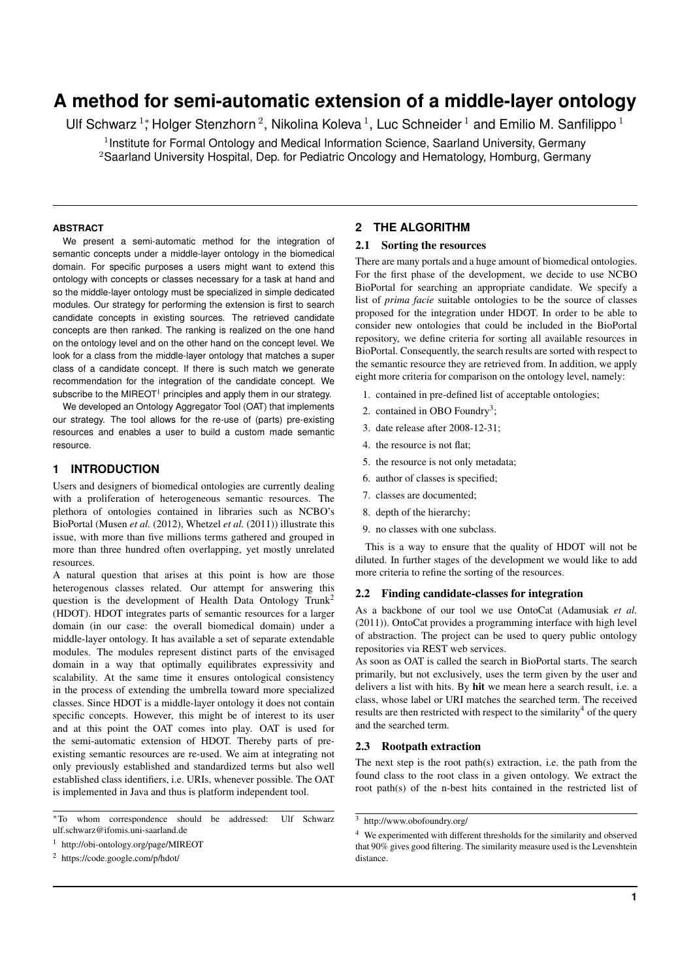# **A method for semi-automatic extension of a middle-layer ontology**

Ulf Schwarz <sup>1</sup>; Holger Stenzhorn <sup>2</sup>, Nikolina Koleva <sup>1</sup>, Luc Schneider <sup>1</sup> and Emilio M. Sanfilippo <sup>1</sup>

<sup>1</sup> Institute for Formal Ontology and Medical Information Science, Saarland University, Germany <sup>2</sup>Saarland University Hospital, Dep. for Pediatric Oncology and Hematology, Homburg, Germany

#### **ABSTRACT**

We present a semi-automatic method for the integration of semantic concepts under a middle-layer ontology in the biomedical domain. For specific purposes a users might want to extend this ontology with concepts or classes necessary for a task at hand and so the middle-layer ontology must be specialized in simple dedicated modules. Our strategy for performing the extension is first to search candidate concepts in existing sources. The retrieved candidate concepts are then ranked. The ranking is realized on the one hand on the ontology level and on the other hand on the concept level. We look for a class from the middle-layer ontology that matches a super class of a candidate concept. If there is such match we generate recommendation for the integration of the candidate concept. We subscribe to the MIREOT<sup>1</sup> principles and apply them in our strategy.

We developed an Ontology Aggregator Tool (OAT) that implements our strategy. The tool allows for the re-use of (parts) pre-existing resources and enables a user to build a custom made semantic resource.

# **1 INTRODUCTION**

Users and designers of biomedical ontologies are currently dealing with a proliferation of heterogeneous semantic resources. The plethora of ontologies contained in libraries such as NCBO's BioPortal (Musen *et al.* (2012), Whetzel *et al.* (2011)) illustrate this issue, with more than five millions terms gathered and grouped in more than three hundred often overlapping, yet mostly unrelated resources.

A natural question that arises at this point is how are those heterogenous classes related. Our attempt for answering this question is the development of Health Data Ontology Trunk<sup>2</sup> (HDOT). HDOT integrates parts of semantic resources for a larger domain (in our case: the overall biomedical domain) under a middle-layer ontology. It has available a set of separate extendable modules. The modules represent distinct parts of the envisaged domain in a way that optimally equilibrates expressivity and scalability. At the same time it ensures ontological consistency in the process of extending the umbrella toward more specialized classes. Since HDOT is a middle-layer ontology it does not contain specific concepts. However, this might be of interest to its user and at this point the OAT comes into play. OAT is used for the semi-automatic extension of HDOT. Thereby parts of preexisting semantic resources are re-used. We aim at integrating not only previously established and standardized terms but also well established class identifiers, i.e. URIs, whenever possible. The OAT is implemented in Java and thus is platform independent tool.

# **2 THE ALGORITHM**

# 2.1 Sorting the resources

There are many portals and a huge amount of biomedical ontologies. For the first phase of the development, we decide to use NCBO BioPortal for searching an appropriate candidate. We specify a list of *prima facie* suitable ontologies to be the source of classes proposed for the integration under HDOT. In order to be able to consider new ontologies that could be included in the BioPortal repository, we define criteria for sorting all available resources in BioPortal. Consequently, the search results are sorted with respect to the semantic resource they are retrieved from. In addition, we apply eight more criteria for comparison on the ontology level, namely:

- 1. contained in pre-defined list of acceptable ontologies;
- 2. contained in OBO Foundry<sup>3</sup>;
- 3. date release after 2008-12-31;
- 4. the resource is not flat;
- 5. the resource is not only metadata;
- 6. author of classes is specified;
- 7. classes are documented;
- 8. depth of the hierarchy;
- 9. no classes with one subclass.

This is a way to ensure that the quality of HDOT will not be diluted. In further stages of the development we would like to add more criteria to refine the sorting of the resources.

### 2.2 Finding candidate-classes for integration

As a backbone of our tool we use OntoCat (Adamusiak *et al.* (2011)). OntoCat provides a programming interface with high level of abstraction. The project can be used to query public ontology repositories via REST web services.

As soon as OAT is called the search in BioPortal starts. The search primarily, but not exclusively, uses the term given by the user and delivers a list with hits. By hit we mean here a search result, i.e. a class, whose label or URI matches the searched term. The received results are then restricted with respect to the similarity<sup>4</sup> of the query and the searched term.

#### 2.3 Rootpath extraction

The next step is the root path(s) extraction, i.e. the path from the found class to the root class in a given ontology. We extract the root path(s) of the n-best hits contained in the restricted list of

<sup>∗</sup>To whom correspondence should be addressed: Ulf Schwarz ulf.schwarz@ifomis.uni-saarland.de

<sup>1</sup> http://obi-ontology.org/page/MIREOT

<sup>2</sup> https://code.google.com/p/hdot/

<sup>3</sup> http://www.obofoundry.org/

<sup>4</sup> We experimented with different thresholds for the similarity and observed that 90% gives good filtering. The similarity measure used is the Levenshtein distance.